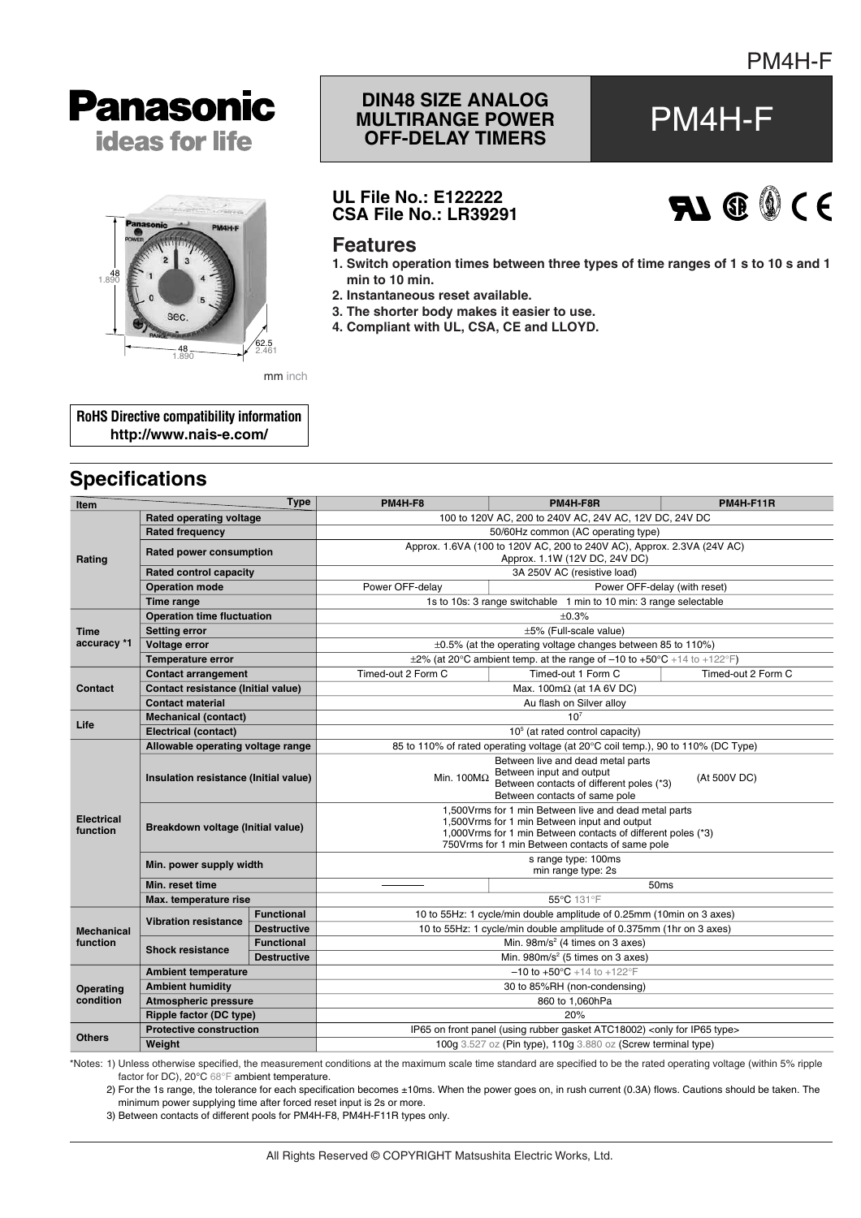



# **DIN48 SIZE ANALOG MULTIRANGE POWER POWER PM4H-F**

### **UL File No.: E122222 CSA File No.: LR39291**



#### **Features**

- **1. Switch operation times between three types of time ranges of 1 s to 10 s and 1 min to 10 min.**
- **2. Instantaneous reset available.**
- **3. The shorter body makes it easier to use.**
- **4. Compliant with UL, CSA, CE and LLOYD.**

**RoHS Directive compatibility information http://www.nais-e.com/**

## **Specifications**

| <b>Item</b>                   |                                                        | <b>Type</b>        | PM4H-F8                                                                                                                                                                                                                      | PM4H-F8R                                                                     | PM4H-F11R          |  |  |
|-------------------------------|--------------------------------------------------------|--------------------|------------------------------------------------------------------------------------------------------------------------------------------------------------------------------------------------------------------------------|------------------------------------------------------------------------------|--------------------|--|--|
|                               | Rated operating voltage                                |                    | 100 to 120V AC, 200 to 240V AC, 24V AC, 12V DC, 24V DC                                                                                                                                                                       |                                                                              |                    |  |  |
| Rating                        | <b>Rated frequency</b>                                 |                    | 50/60Hz common (AC operating type)                                                                                                                                                                                           |                                                                              |                    |  |  |
|                               | Rated power consumption                                |                    | Approx. 1.6VA (100 to 120V AC, 200 to 240V AC), Approx. 2.3VA (24V AC)<br>Approx. 1.1W (12V DC, 24V DC)                                                                                                                      |                                                                              |                    |  |  |
|                               | <b>Rated control capacity</b>                          |                    | 3A 250V AC (resistive load)                                                                                                                                                                                                  |                                                                              |                    |  |  |
|                               | <b>Operation mode</b>                                  |                    | Power OFF-delay<br>Power OFF-delay (with reset)                                                                                                                                                                              |                                                                              |                    |  |  |
|                               | <b>Time range</b>                                      |                    | 1s to 10s: 3 range switchable 1 min to 10 min: 3 range selectable                                                                                                                                                            |                                                                              |                    |  |  |
|                               | <b>Operation time fluctuation</b>                      |                    | ±0.3%                                                                                                                                                                                                                        |                                                                              |                    |  |  |
| <b>Time</b><br>accuracy *1    | <b>Setting error</b>                                   |                    | ±5% (Full-scale value)                                                                                                                                                                                                       |                                                                              |                    |  |  |
|                               | Voltage error                                          |                    | $\pm 0.5$ % (at the operating voltage changes between 85 to 110%)                                                                                                                                                            |                                                                              |                    |  |  |
|                               | <b>Temperature error</b>                               |                    |                                                                                                                                                                                                                              | $\pm 2\%$ (at 20°C ambient temp. at the range of -10 to +50°C +14 to +122°F) |                    |  |  |
|                               | <b>Contact arrangement</b>                             |                    | Timed-out 2 Form C                                                                                                                                                                                                           | Timed-out 1 Form C                                                           | Timed-out 2 Form C |  |  |
| Contact                       | <b>Contact resistance (Initial value)</b>              |                    | Max. $100 \text{m}\Omega$ (at 1A 6V DC)                                                                                                                                                                                      |                                                                              |                    |  |  |
|                               | <b>Contact material</b>                                |                    | Au flash on Silver alloy                                                                                                                                                                                                     |                                                                              |                    |  |  |
|                               | <b>Mechanical (contact)</b>                            |                    |                                                                                                                                                                                                                              | 10 <sup>7</sup>                                                              |                    |  |  |
| Life                          | <b>Electrical (contact)</b>                            |                    | $105$ (at rated control capacity)                                                                                                                                                                                            |                                                                              |                    |  |  |
|                               | Allowable operating voltage range                      |                    | 85 to 110% of rated operating voltage (at 20°C coil temp.), 90 to 110% (DC Type)                                                                                                                                             |                                                                              |                    |  |  |
| <b>Electrical</b><br>function | Insulation resistance (Initial value)                  |                    | Between live and dead metal parts<br>Between input and output<br>Min. $100M\Omega$<br>(At 500V DC)<br>Between contacts of different poles (*3)<br>Between contacts of same pole                                              |                                                                              |                    |  |  |
|                               | Breakdown voltage (Initial value)                      |                    | 1,500 Vrms for 1 min Between live and dead metal parts<br>1,500 Vrms for 1 min Between input and output<br>1,000 Vrms for 1 min Between contacts of different poles (*3)<br>750 Vrms for 1 min Between contacts of same pole |                                                                              |                    |  |  |
|                               | Min. power supply width                                |                    | s range type: 100ms<br>min range type: 2s                                                                                                                                                                                    |                                                                              |                    |  |  |
|                               | Min. reset time                                        |                    | 50ms                                                                                                                                                                                                                         |                                                                              |                    |  |  |
|                               | Max. temperature rise                                  |                    | 55°C 131°F                                                                                                                                                                                                                   |                                                                              |                    |  |  |
|                               | <b>Vibration resistance</b><br><b>Shock resistance</b> | <b>Functional</b>  | 10 to 55Hz: 1 cycle/min double amplitude of 0.25mm (10min on 3 axes)                                                                                                                                                         |                                                                              |                    |  |  |
| <b>Mechanical</b>             |                                                        | <b>Destructive</b> | 10 to 55Hz: 1 cycle/min double amplitude of 0.375mm (1hr on 3 axes)                                                                                                                                                          |                                                                              |                    |  |  |
| function                      |                                                        | <b>Functional</b>  | Min. $98m/s^2$ (4 times on 3 axes)                                                                                                                                                                                           |                                                                              |                    |  |  |
|                               |                                                        | <b>Destructive</b> | Min. $980m/s^2$ (5 times on 3 axes)                                                                                                                                                                                          |                                                                              |                    |  |  |
|                               | <b>Ambient temperature</b>                             |                    | $-10$ to $+50^{\circ}$ C +14 to +122°F                                                                                                                                                                                       |                                                                              |                    |  |  |
| <b>Operating</b>              | <b>Ambient humidity</b>                                |                    | 30 to 85%RH (non-condensing)                                                                                                                                                                                                 |                                                                              |                    |  |  |
| condition                     | Atmospheric pressure                                   |                    | 860 to 1,060hPa                                                                                                                                                                                                              |                                                                              |                    |  |  |
|                               | Ripple factor (DC type)                                |                    | 20%                                                                                                                                                                                                                          |                                                                              |                    |  |  |
| <b>Others</b>                 | <b>Protective construction</b>                         |                    | IP65 on front panel (using rubber gasket ATC18002) <only for="" ip65="" type=""></only>                                                                                                                                      |                                                                              |                    |  |  |
|                               | Weight                                                 |                    | 100g 3.527 oz (Pin type), 110g 3.880 oz (Screw terminal type)                                                                                                                                                                |                                                                              |                    |  |  |

\*Notes: 1) Unless otherwise specified, the measurement conditions at the maximum scale time standard are specified to be the rated operating voltage (within 5% ripple factor for DC), 20°C 68°F ambient temperature.

2) For the 1s range, the tolerance for each specification becomes ±10ms. When the power goes on, in rush current (0.3A) flows. Cautions should be taken. The minimum power supplying time after forced reset input is 2s or more.

3) Between contacts of different pools for PM4H-F8, PM4H-F11R types only.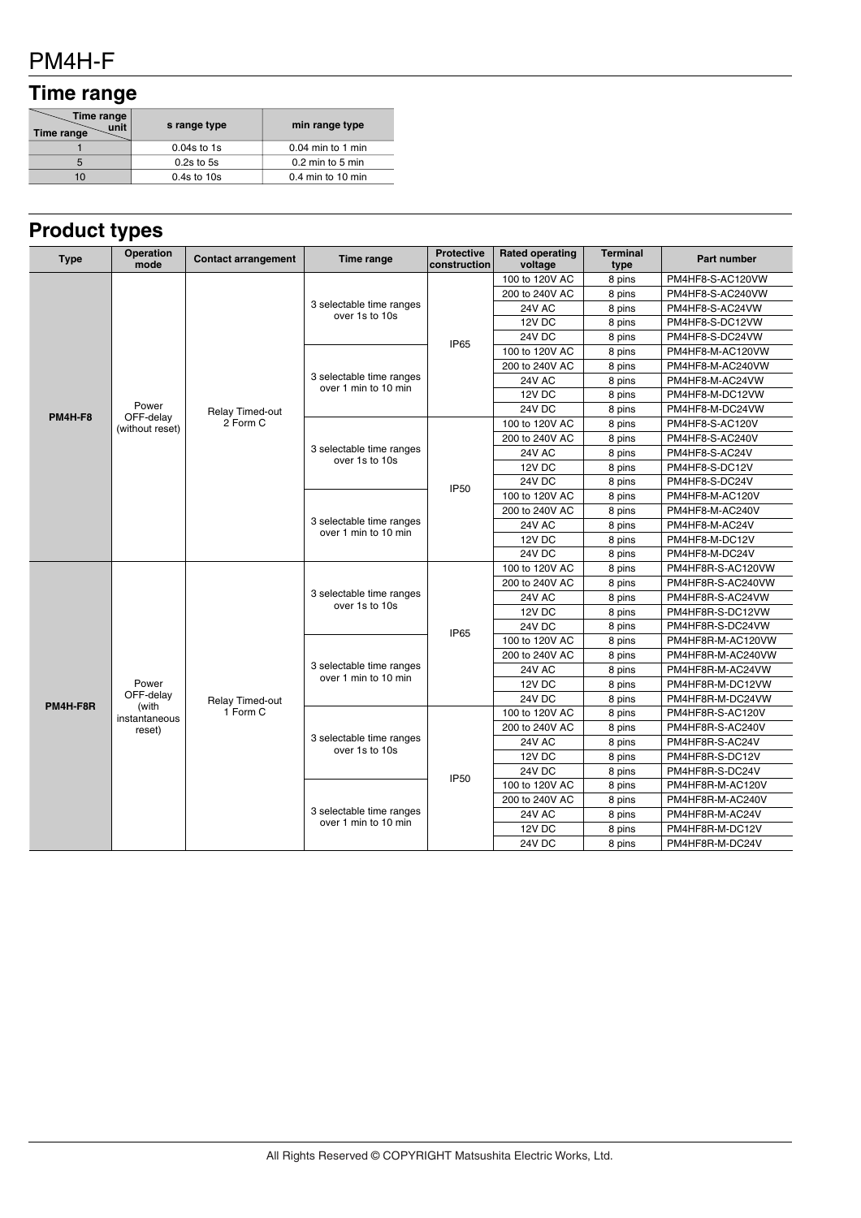## PM4H-F

# **Time range**

| Time range<br>unit<br>Time range | s range type    | min range type      |
|----------------------------------|-----------------|---------------------|
|                                  | $0.04s$ to 1s   | $0.04$ min to 1 min |
| 5                                | $0.2s$ to 5s    | 0.2 min to 5 min    |
| 10                               | $0.4s$ to $10s$ | 0.4 min to 10 min   |

## **Product types**

| <b>Type</b>    | Operation<br>mode           | <b>Contact arrangement</b>         | Time range                                       | <b>Protective</b><br>construction | <b>Rated operating</b><br>voltage | <b>Terminal</b><br>type | <b>Part number</b>          |
|----------------|-----------------------------|------------------------------------|--------------------------------------------------|-----------------------------------|-----------------------------------|-------------------------|-----------------------------|
|                |                             |                                    | 3 selectable time ranges<br>over 1s to 10s       |                                   | 100 to 120V AC                    | 8 pins                  | PM4HF8-S-AC120VW            |
|                |                             |                                    |                                                  |                                   | 200 to 240V AC                    | 8 pins                  | PM4HF8-S-AC240VW            |
|                |                             |                                    |                                                  | <b>IP65</b>                       | <b>24V AC</b>                     | 8 pins                  | PM4HF8-S-AC24VW             |
|                |                             |                                    |                                                  |                                   | 12V DC                            | 8 pins                  | PM4HF8-S-DC12VW             |
|                |                             |                                    |                                                  |                                   | 24V DC                            | 8 pins                  | PM4HF8-S-DC24VW             |
|                |                             |                                    | 3 selectable time ranges<br>over 1 min to 10 min |                                   | 100 to 120V AC                    | 8 pins                  | PM4HF8-M-AC120VW            |
|                |                             |                                    |                                                  |                                   | 200 to 240V AC                    | 8 pins                  | PM4HF8-M-AC240VW            |
|                |                             |                                    |                                                  |                                   | <b>24V AC</b>                     | 8 pins                  | PM4HF8-M-AC24VW             |
|                |                             |                                    |                                                  |                                   | 12V DC                            | 8 pins                  | PM4HF8-M-DC12VW             |
| <b>PM4H-F8</b> | Power<br>OFF-delay          | Relay Timed-out                    |                                                  |                                   | 24V DC                            | 8 pins                  | PM4HF8-M-DC24VW             |
|                | (without reset)             | 2 Form C                           |                                                  | 100 to 120V AC                    | 8 pins                            | PM4HF8-S-AC120V         |                             |
|                |                             |                                    |                                                  |                                   | 200 to 240V AC                    | 8 pins                  | PM4HF8-S-AC240V             |
|                |                             |                                    | 3 selectable time ranges<br>over 1s to 10s       |                                   | 24V AC                            | 8 pins                  | PM4HF8-S-AC24V              |
|                |                             |                                    |                                                  |                                   | 12V DC                            | 8 pins                  | PM4HF8-S-DC12V              |
|                |                             |                                    |                                                  | <b>IP50</b>                       | 24V DC                            | 8 pins                  | PM4HF8-S-DC24V              |
|                |                             |                                    |                                                  |                                   | 100 to 120V AC                    | 8 pins                  | PM4HF8-M-AC120V             |
|                |                             |                                    |                                                  |                                   | 200 to 240V AC                    | 8 pins                  | PM4HF8-M-AC240V             |
|                |                             |                                    | 3 selectable time ranges<br>over 1 min to 10 min |                                   | 24V AC                            | 8 pins                  | PM4HF8-M-AC24V              |
|                |                             |                                    |                                                  |                                   | 12V DC                            | 8 pins                  | PM4HF8-M-DC12V              |
|                |                             |                                    |                                                  |                                   | 24V DC                            | 8 pins                  | PM4HF8-M-DC24V              |
|                | Power<br>OFF-delay<br>(with |                                    |                                                  |                                   | 100 to 120V AC                    |                         | 8 pins<br>PM4HF8R-S-AC120VW |
|                |                             |                                    | 3 selectable time ranges<br>over 1s to 10s       | IP <sub>65</sub>                  | 200 to 240V AC                    | 8 pins                  | PM4HF8R-S-AC240VW           |
|                |                             | <b>Relay Timed-out</b><br>1 Form C |                                                  |                                   | <b>24V AC</b>                     | 8 pins                  | PM4HF8R-S-AC24VW            |
|                |                             |                                    |                                                  |                                   | 12V DC                            | 8 pins                  | PM4HF8R-S-DC12VW            |
|                |                             |                                    |                                                  |                                   | 24V DC                            | 8 pins                  | PM4HF8R-S-DC24VW            |
|                |                             |                                    | 3 selectable time ranges<br>over 1 min to 10 min |                                   | 100 to 120V AC                    | 8 pins                  | PM4HF8R-M-AC120VW           |
|                |                             |                                    |                                                  |                                   | 200 to 240V AC                    | 8 pins                  | PM4HF8R-M-AC240VW           |
|                |                             |                                    |                                                  |                                   | 24V AC                            | 8 pins                  | PM4HF8R-M-AC24VW            |
|                |                             |                                    |                                                  |                                   | 12V DC                            | 8 pins                  | PM4HF8R-M-DC12VW            |
| PM4H-F8R       |                             |                                    |                                                  |                                   | <b>24V DC</b>                     | 8 pins                  | PM4HF8R-M-DC24VW            |
|                | instantaneous               |                                    |                                                  |                                   | 100 to 120V AC                    | 8 pins                  | PM4HF8R-S-AC120V            |
|                | reset)                      |                                    | 3 selectable time ranges<br>over 1s to 10s       | <b>IP50</b>                       | 200 to 240V AC                    | 8 pins                  | PM4HF8R-S-AC240V            |
|                |                             |                                    |                                                  |                                   | <b>24V AC</b>                     | 8 pins                  | PM4HF8R-S-AC24V             |
|                |                             |                                    |                                                  |                                   | 12V DC                            | 8 pins                  | PM4HF8R-S-DC12V             |
|                |                             |                                    |                                                  |                                   | 24V DC                            | 8 pins                  | PM4HF8R-S-DC24V             |
|                |                             |                                    | 3 selectable time ranges<br>over 1 min to 10 min |                                   | 100 to 120V AC                    | 8 pins                  | PM4HF8R-M-AC120V            |
|                |                             |                                    |                                                  |                                   | 200 to 240V AC                    | 8 pins                  | PM4HF8R-M-AC240V            |
|                |                             |                                    |                                                  |                                   | 24V AC                            | 8 pins                  | PM4HF8R-M-AC24V             |
|                |                             |                                    |                                                  |                                   | 12V DC                            | 8 pins                  | PM4HF8R-M-DC12V             |
|                |                             |                                    |                                                  |                                   | 24V DC                            | 8 pins                  | PM4HF8R-M-DC24V             |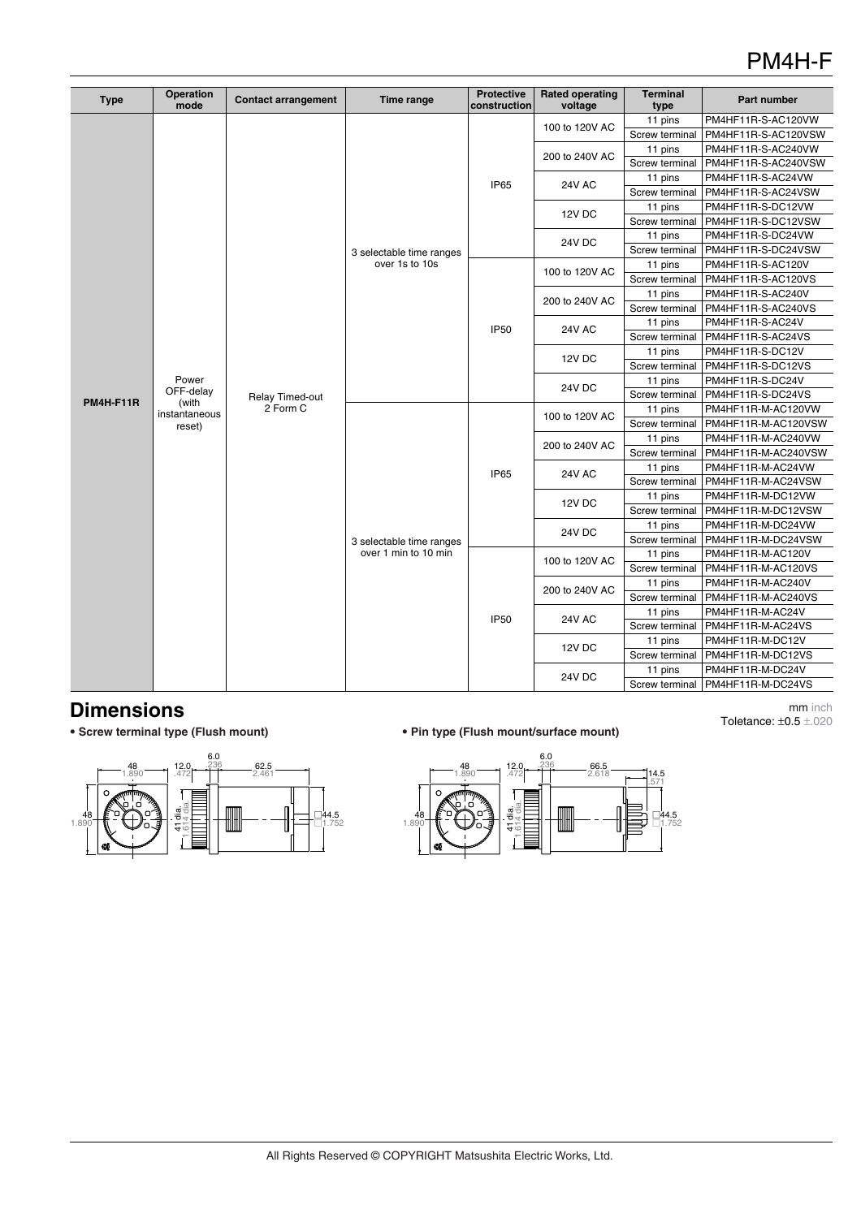## PM4H-F

| Type             | Operation<br>mode                                      | <b>Contact arrangement</b>  | Time range                                 | <b>Protective</b><br>construction | <b>Rated operating</b><br>voltage | <b>Terminal</b><br>type | Part number         |
|------------------|--------------------------------------------------------|-----------------------------|--------------------------------------------|-----------------------------------|-----------------------------------|-------------------------|---------------------|
|                  |                                                        |                             |                                            |                                   |                                   | 11 pins                 | PM4HF11R-S-AC120VW  |
|                  |                                                        |                             |                                            | 100 to 120V AC                    | Screw terminal                    | PM4HF11R-S-AC120VSW     |                     |
|                  |                                                        |                             |                                            |                                   | 200 to 240V AC                    | 11 pins                 | PM4HF11R-S-AC240VW  |
|                  |                                                        |                             | 3 selectable time ranges<br>over 1s to 10s | <b>IP65</b>                       |                                   | Screw terminal          | PM4HF11R-S-AC240VSW |
|                  |                                                        |                             |                                            |                                   | <b>24V AC</b>                     | 11 pins                 | PM4HF11R-S-AC24VW   |
|                  |                                                        |                             |                                            |                                   |                                   | Screw terminal          | PM4HF11R-S-AC24VSW  |
|                  |                                                        |                             |                                            |                                   | 12V DC                            | 11 pins                 | PM4HF11R-S-DC12VW   |
|                  |                                                        |                             |                                            |                                   |                                   | Screw terminal          | PM4HF11R-S-DC12VSW  |
|                  |                                                        |                             |                                            |                                   | 24V DC                            | 11 pins                 | PM4HF11R-S-DC24VW   |
|                  |                                                        |                             |                                            |                                   |                                   | Screw terminal          | PM4HF11R-S-DC24VSW  |
|                  |                                                        |                             |                                            |                                   | 100 to 120V AC                    | 11 pins                 | PM4HF11R-S-AC120V   |
|                  |                                                        |                             |                                            |                                   |                                   | Screw terminal          | PM4HF11R-S-AC120VS  |
|                  |                                                        |                             |                                            |                                   | 200 to 240V AC                    | 11 pins                 | PM4HF11R-S-AC240V   |
|                  |                                                        |                             |                                            |                                   |                                   | Screw terminal          | PM4HF11R-S-AC240VS  |
|                  | Power<br>OFF-delay<br>(with<br>instantaneous<br>reset) |                             |                                            | <b>IP50</b>                       | <b>24V AC</b>                     | 11 pins                 | PM4HF11R-S-AC24V    |
|                  |                                                        |                             |                                            |                                   |                                   | Screw terminal          | PM4HF11R-S-AC24VS   |
|                  |                                                        |                             |                                            |                                   | 12V DC                            | 11 pins                 | PM4HF11R-S-DC12V    |
|                  |                                                        |                             |                                            |                                   |                                   | Screw terminal          | PM4HF11R-S-DC12VS   |
| <b>PM4H-F11R</b> |                                                        | Relay Timed-out<br>2 Form C |                                            |                                   | 24V DC                            | 11 pins                 | PM4HF11R-S-DC24V    |
|                  |                                                        |                             |                                            |                                   |                                   | Screw terminal          | PM4HF11R-S-DC24VS   |
|                  |                                                        |                             |                                            | <b>IP65</b>                       | 100 to 120V AC                    | 11 pins                 | PM4HF11R-M-AC120VW  |
|                  |                                                        |                             |                                            |                                   |                                   | Screw terminal          | PM4HF11R-M-AC120VSW |
|                  |                                                        |                             |                                            |                                   | 200 to 240V AC                    | 11 pins                 | PM4HF11R-M-AC240VW  |
|                  |                                                        |                             |                                            |                                   |                                   | Screw terminal          | PM4HF11R-M-AC240VSW |
|                  |                                                        |                             |                                            |                                   | <b>24V AC</b>                     | 11 pins                 | PM4HF11R-M-AC24VW   |
|                  |                                                        |                             |                                            |                                   |                                   | Screw terminal          | PM4HF11R-M-AC24VSW  |
|                  |                                                        |                             |                                            |                                   | 12V DC                            | 11 pins                 | PM4HF11R-M-DC12VW   |
|                  |                                                        |                             |                                            |                                   |                                   | Screw terminal          | PM4HF11R-M-DC12VSW  |
|                  |                                                        |                             |                                            |                                   | 24V DC                            | 11 pins                 | PM4HF11R-M-DC24VW   |
|                  |                                                        |                             | 3 selectable time ranges                   |                                   |                                   | Screw terminal          | PM4HF11R-M-DC24VSW  |
|                  |                                                        |                             | over 1 min to 10 min                       |                                   | 100 to 120V AC                    | 11 pins                 | PM4HF11R-M-AC120V   |
|                  |                                                        |                             |                                            |                                   |                                   | Screw terminal          | PM4HF11R-M-AC120VS  |
|                  |                                                        |                             |                                            |                                   | 200 to 240V AC                    | 11 pins                 | PM4HF11R-M-AC240V   |
|                  |                                                        |                             |                                            |                                   |                                   | Screw terminal          | PM4HF11R-M-AC240VS  |
|                  |                                                        |                             |                                            | <b>IP50</b>                       | <b>24V AC</b>                     | 11 pins                 | PM4HF11R-M-AC24V    |
|                  |                                                        |                             |                                            |                                   |                                   | Screw terminal          | PM4HF11R-M-AC24VS   |
|                  |                                                        |                             |                                            |                                   | 12V DC                            | 11 pins                 | PM4HF11R-M-DC12V    |
|                  |                                                        |                             |                                            |                                   |                                   | Screw terminal          | PM4HF11R-M-DC12VS   |
|                  |                                                        |                             |                                            |                                   | 24V DC                            | 11 pins                 | PM4HF11R-M-DC24V    |
|                  |                                                        |                             |                                            |                                   |                                   | Screw terminal          | PM4HF11R-M-DC24VS   |

**Dimensions**<br>• Screw terminal type (Flush mount)



#### • **Screw terminal type (Flush mount)** • **Pin type (Flush mount/surface mount)**

mm inch Toletance: ±0.5 ±.020

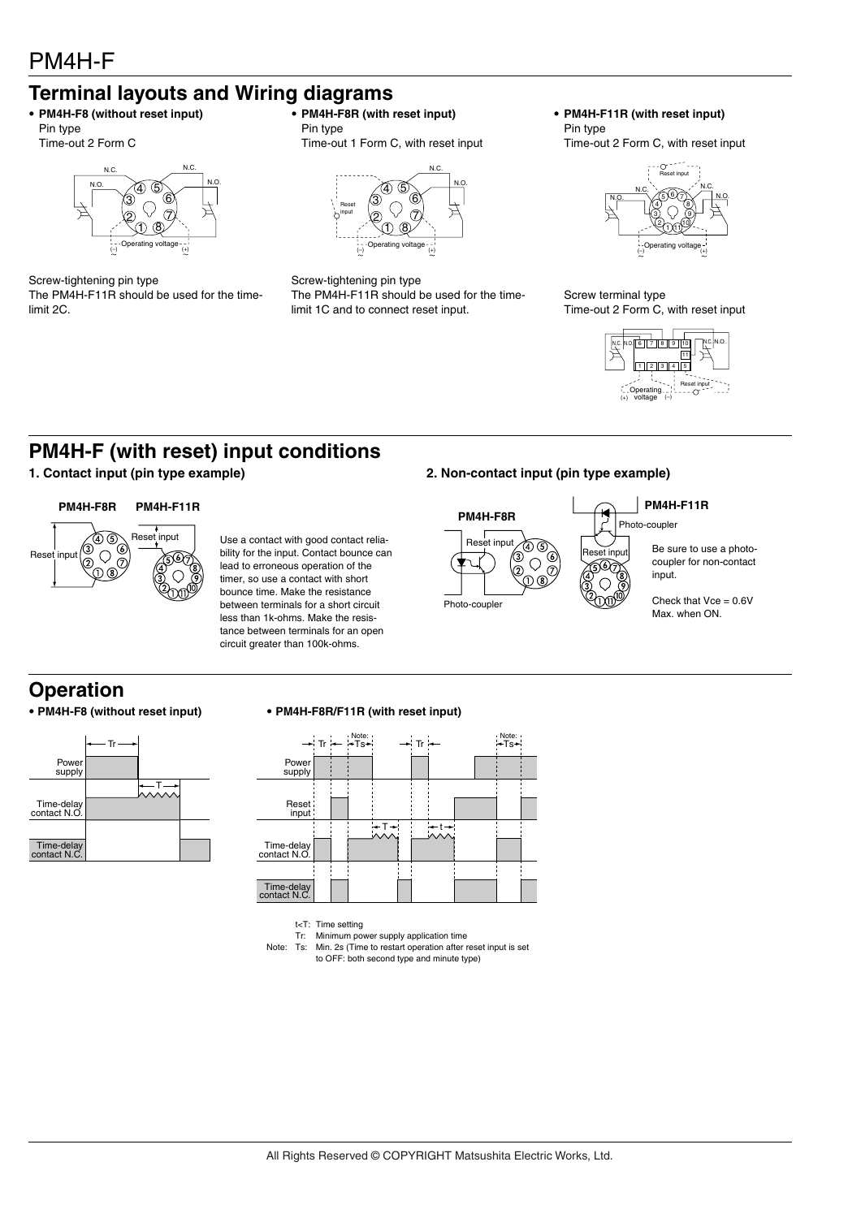## **Terminal layouts and Wiring diagrams**

#### • **PM4H-F8 (without reset input)** Pin type Time-out 2 Form C



Screw-tightening pin type The PM4H-F11R should be used for the timelimit 2C.

• **PM4H-F8R (with reset input)** Pin type

Time-out 1 Form C, with reset input



Screw-tightening pin type The PM4H-F11R should be used for the timelimit 1C and to connect reset input.

• **PM4H-F11R (with reset input)** Pin type

Time-out 2 Form C, with reset input



Screw terminal type Time-out 2 Form C, with reset input



## **PM4H-F (with reset) input conditions**

#### **PM4H-F8R PM4H-F11R**



Reset input Use a contact with good contact relia-<br>
Heset input bility for the input. Contact bounce can lead to erroneous operation of the timer, so use a contact with short bounce time. Make the resistance between terminals for a short circuit less than 1k-ohms. Make the resistance between terminals for an open circuit greater than 100k-ohms.

#### **1. Contact input (pin type example) 2. Non-contact input (pin type example)**



## **Operation**



#### • **PM4H-F8 (without reset input)** • **PM4H-F8R/F11R (with reset input)**



t<T: Time setting

Tr: Minimum power supply application time Note: Ts: Min. 2s (Time to restart operation after reset input is set

to OFF: both second type and minute type)